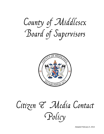County of Middlesex Board of Supervisors



## Citizen & Media Contact Policy